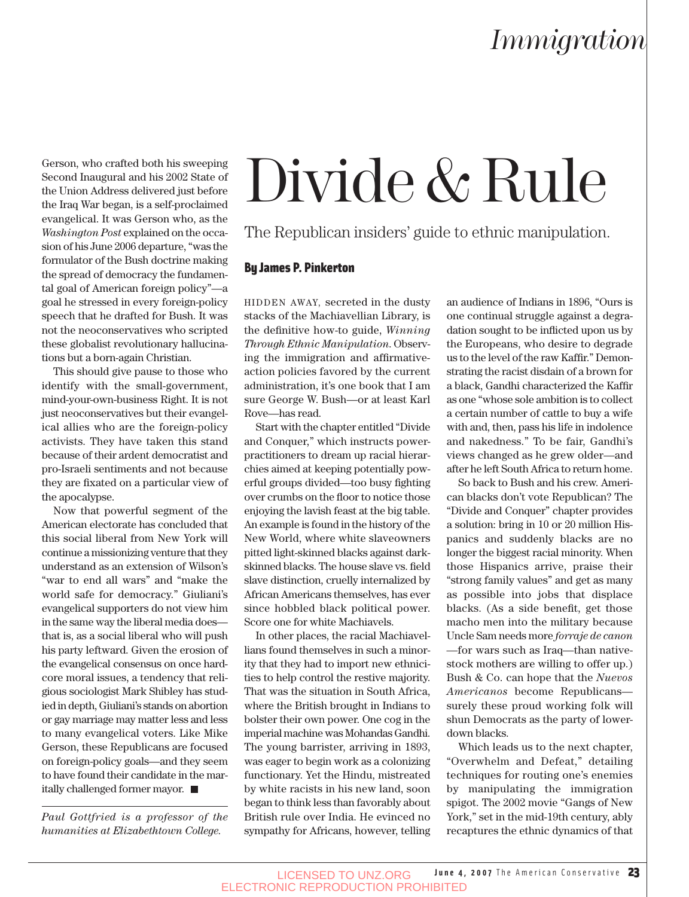Gerson, who crafted both his sweeping Second Inaugural and his 2002 State of the Union Address delivered just before the Iraq War began, is a self-proclaimed evangelical. It was Gerson who, as the *Washington Post* explained on the occasion of his June 2006 departure, "was the formulator of the Bush doctrine making the spread of democracy the fundamental goal of American foreign policy"—a goal he stressed in every foreign-policy speech that he drafted for Bush. It was not the neoconservatives who scripted these globalist revolutionary hallucinations but a born-again Christian.

This should give pause to those who identify with the small-government, mind-your-own-business Right. It is not just neoconservatives but their evangelical allies who are the foreign-policy activists. They have taken this stand because of their ardent democratist and pro-Israeli sentiments and not because they are fixated on a particular view of the apocalypse.

Now that powerful segment of the American electorate has concluded that this social liberal from New York will continue a missionizing venture that they understand as an extension of Wilson's "war to end all wars" and "make the world safe for democracy." Giuliani's evangelical supporters do not view him in the same way the liberal media does that is, as a social liberal who will push his party leftward. Given the erosion of the evangelical consensus on once hardcore moral issues, a tendency that religious sociologist Mark Shibley has studied in depth, Giuliani's stands on abortion or gay marriage may matter less and less to many evangelical voters. Like Mike Gerson, these Republicans are focused on foreign-policy goals—and they seem to have found their candidate in the maritally challenged former mayor.

*Paul Gottfried is a professor of the humanities at Elizabethtown College.*

# Divide & Rule

The Republican insiders' guide to ethnic manipulation.

#### By James P. Pinkerton

HIDDEN AWAY, secreted in the dusty stacks of the Machiavellian Library, is the definitive how-to guide, *Winning Through Ethnic Manipulation*. Observing the immigration and affirmativeaction policies favored by the current administration, it's one book that I am sure George W. Bush—or at least Karl Rove—has read.

Start with the chapter entitled "Divide and Conquer," which instructs powerpractitioners to dream up racial hierarchies aimed at keeping potentially powerful groups divided—too busy fighting over crumbs on the floor to notice those enjoying the lavish feast at the big table. An example is found in the history of the New World, where white slaveowners pitted light-skinned blacks against darkskinned blacks. The house slave vs. field slave distinction, cruelly internalized by African Americans themselves, has ever since hobbled black political power. Score one for white Machiavels.

In other places, the racial Machiavellians found themselves in such a minority that they had to import new ethnicities to help control the restive majority. That was the situation in South Africa, where the British brought in Indians to bolster their own power. One cog in the imperial machine was Mohandas Gandhi. The young barrister, arriving in 1893, was eager to begin work as a colonizing functionary. Yet the Hindu, mistreated by white racists in his new land, soon began to think less than favorably about British rule over India. He evinced no sympathy for Africans, however, telling an audience of Indians in 1896, "Ours is one continual struggle against a degradation sought to be inflicted upon us by the Europeans, who desire to degrade us to the level of the raw Kaffir." Demonstrating the racist disdain of a brown for a black, Gandhi characterized the Kaffir as one "whose sole ambition is to collect a certain number of cattle to buy a wife with and, then, pass his life in indolence and nakedness." To be fair, Gandhi's views changed as he grew older—and after he left South Africa to return home.

So back to Bush and his crew. American blacks don't vote Republican? The "Divide and Conquer" chapter provides a solution: bring in 10 or 20 million Hispanics and suddenly blacks are no longer the biggest racial minority. When those Hispanics arrive, praise their "strong family values" and get as many as possible into jobs that displace blacks. (As a side benefit, get those macho men into the military because Uncle Sam needs more *forraje de canon —*for wars such as Iraq—than nativestock mothers are willing to offer up.) Bush & Co. can hope that the *Nuevos Americanos* become Republicans surely these proud working folk will shun Democrats as the party of lowerdown blacks.

Which leads us to the next chapter, "Overwhelm and Defeat," detailing techniques for routing one's enemies by manipulating the immigration spigot. The 2002 movie "Gangs of New York," set in the mid-19th century, ably recaptures the ethnic dynamics of that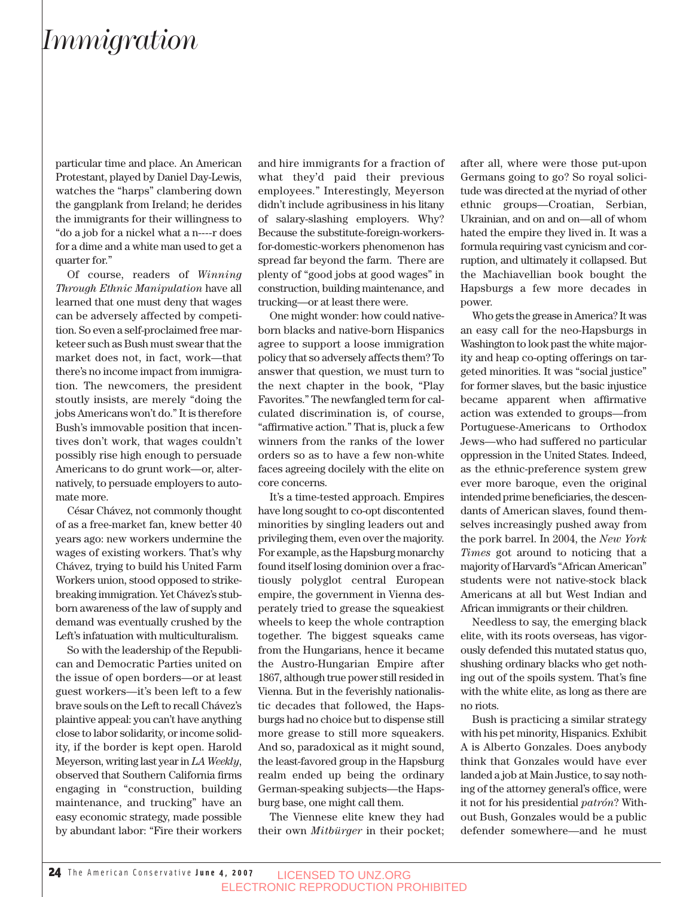### *Immigration*

particular time and place. An American Protestant, played by Daniel Day-Lewis, watches the "harps" clambering down the gangplank from Ireland; he derides the immigrants for their willingness to "do a job for a nickel what a n----r does for a dime and a white man used to get a quarter for."

Of course, readers of *Winning Through Ethnic Manipulation* have all learned that one must deny that wages can be adversely affected by competition. So even a self-proclaimed free marketeer such as Bush must swear that the market does not, in fact, work—that there's no income impact from immigration. The newcomers, the president stoutly insists, are merely "doing the jobs Americans won't do." It is therefore Bush's immovable position that incentives don't work, that wages couldn't possibly rise high enough to persuade Americans to do grunt work—or, alternatively, to persuade employers to automate more.

César Chávez, not commonly thought of as a free-market fan, knew better 40 years ago: new workers undermine the wages of existing workers. That's why Chávez, trying to build his United Farm Workers union, stood opposed to strikebreaking immigration. Yet Chávez's stubborn awareness of the law of supply and demand was eventually crushed by the Left's infatuation with multiculturalism.

So with the leadership of the Republican and Democratic Parties united on the issue of open borders—or at least guest workers—it's been left to a few brave souls on the Left to recall Chávez's plaintive appeal: you can't have anything close to labor solidarity, or income solidity, if the border is kept open. Harold Meyerson, writing last year in *LA Weekly*, observed that Southern California firms engaging in "construction, building maintenance, and trucking" have an easy economic strategy, made possible by abundant labor: "Fire their workers and hire immigrants for a fraction of what they'd paid their previous employees." Interestingly, Meyerson didn't include agribusiness in his litany of salary-slashing employers. Why? Because the substitute-foreign-workersfor-domestic-workers phenomenon has spread far beyond the farm. There are plenty of "good jobs at good wages" in construction, building maintenance, and trucking—or at least there were.

One might wonder: how could nativeborn blacks and native-born Hispanics agree to support a loose immigration policy that so adversely affects them? To answer that question, we must turn to the next chapter in the book, "Play Favorites." The newfangled term for calculated discrimination is, of course, "affirmative action." That is, pluck a few winners from the ranks of the lower orders so as to have a few non-white faces agreeing docilely with the elite on core concerns.

It's a time-tested approach. Empires have long sought to co-opt discontented minorities by singling leaders out and privileging them, even over the majority. For example, as the Hapsburg monarchy found itself losing dominion over a fractiously polyglot central European empire, the government in Vienna desperately tried to grease the squeakiest wheels to keep the whole contraption together. The biggest squeaks came from the Hungarians, hence it became the Austro-Hungarian Empire after 1867, although true power still resided in Vienna. But in the feverishly nationalistic decades that followed, the Hapsburgs had no choice but to dispense still more grease to still more squeakers. And so, paradoxical as it might sound, the least-favored group in the Hapsburg realm ended up being the ordinary German-speaking subjects—the Hapsburg base, one might call them.

The Viennese elite knew they had their own *Mitbürger* in their pocket; after all, where were those put-upon Germans going to go? So royal solicitude was directed at the myriad of other ethnic groups—Croatian, Serbian, Ukrainian, and on and on—all of whom hated the empire they lived in. It was a formula requiring vast cynicism and corruption, and ultimately it collapsed. But the Machiavellian book bought the Hapsburgs a few more decades in power.

Who gets the grease in America? It was an easy call for the neo-Hapsburgs in Washington to look past the white majority and heap co-opting offerings on targeted minorities. It was "social justice" for former slaves, but the basic injustice became apparent when affirmative action was extended to groups—from Portuguese-Americans to Orthodox Jews—who had suffered no particular oppression in the United States. Indeed, as the ethnic-preference system grew ever more baroque, even the original intended prime beneficiaries, the descendants of American slaves, found themselves increasingly pushed away from the pork barrel. In 2004, the *New York Times* got around to noticing that a majority of Harvard's "African American" students were not native-stock black Americans at all but West Indian and African immigrants or their children.

Needless to say, the emerging black elite, with its roots overseas, has vigorously defended this mutated status quo, shushing ordinary blacks who get nothing out of the spoils system. That's fine with the white elite, as long as there are no riots.

Bush is practicing a similar strategy with his pet minority, Hispanics. Exhibit A is Alberto Gonzales. Does anybody think that Gonzales would have ever landed a job at Main Justice, to say nothing of the attorney general's office, were it not for his presidential *patrón*? Without Bush, Gonzales would be a public defender somewhere—and he must